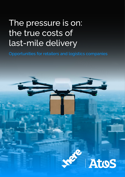# The pressure is on: the true costs of last-mile delivery

Opportunities for retailers and logistics companies

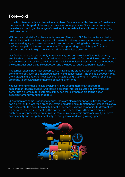### **Foreword**

In the last 18 months, last-mile delivery has been fast-forwarded by five years. Even before the pandemic, this part of the supply chain was under pressure. Since then, companies have risen to the huge challenge of massively increased delivery volumes and changing customer demand.

With so much at stake for players in this market, Atos and HERE Technologies wanted to take a closer look at what's happening in last-mile delivery. In early 2021, we commissioned a survey asking 2,500 consumers about their online purchasing habits, delivery preferences, pain points and experiences. This report brings you highlights from the research and what it might mean for retailers and logistics providers.

Our findings point, not surprisingly, to the intensity and complexities of last-mile delivery amplified since 2020. The basics of delivering a package in perfect condition on time and at a reasonable cost can still be a challenge. Financial and logistical pressures are compounded by externalities such as traffic congestion and the need to reduce carbon emissions.

The largest subscription-based companies have set the standard for what customers have come to expect, such as added predictability and convenience. And the gap between what the digital giants and others can achieve is still growing. Customers - spoiled for choice are ready to go elsewhere if their expectations aren't met.

Yet customer priorities are also evolving. We are seeing more of an appetite for subscription-based services. And there's a growing interest in sustainability, which can come with a premium for customers if they see that companies are taking action – especially among younger shoppers.

While there are some urgent challenges, there are also major opportunities for those who can deliver on the last-mile promise. Leveraging data and automation to increase efficiency and accelerate the evolution of intelligent supply chains helps companies to differentiate on performance while protecting the bottom line. Technology is therefore a critical enabler for any provider to optimize last-mile delivery to retain customer loyalty, improve sustainability and compete effectively in this dynamic and fast-growing space.

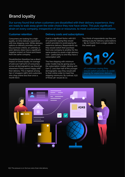### **Brand loyalty**

Our survey found that when customers are dissatisfied with their delivery experience, they are ready to walk away given the wide choice they now have online. This puts significant strain on every company, irrespective of size or resources, to meet customers' expectations.

#### **Customer retention**

Consumers are looking for a highquality, on-time delivery experience with low shipping costs. While delivery options or delivery providers are not key purchase criteria, an untimely or poor delivery does have a significant negative impact on future purchases from the same company.

Dissatisfaction therefore has a direct impact on brand loyalty. An average of well over half (57%) of consumers across all demographics say they'd go elsewhere if they weren't happy with their delivery. This is highest among Gen-Z shoppers (58%) and customers who shop online less than once a month (61%).

#### **Delivery costs and subscriptions**

Cost is a significant factor, with 61% of customers saying they would switch providers to avoid paying for expensive delivery. Respondents say they would switch their purchase from one company to another for the same product to avoid a high delivery cost – particularly to one they have a subscription with.

The free shipping with minimum order model may be giving way to the subscription model, starting with Gen-Z. Less than half of this younger demographic says they would add to their online order to meet free shipping minimums. By contrast, 63% of those 46+ would do so.

Two thirds of respondents say they are willing to pay for delivery subscriptions – \$5-10/month from a single retailer is the sweet spot.

of customers saying they would switch providers to avoid paying for expensive delivery.

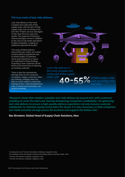#### **The true costs of last-mile delivery**

Last-mile delivery is the most complex and costly part of the supply chain, with 40-55% of total supply chain cost occurring in the last mile.<sup>1</sup> If items are lost, damaged or late, then the true cost soon spirals. The expense of having to resend packages comes in addition to the cost of call center operations to field complaints, creating an additional operational burden.

The costs of failed delivery (around \$10 per order)2 are further compounded by significant risks to brand loyalty if customers opt to look elsewhere in future, as underlined in these findings. Acquiring a new customer can be three to five times that of retaining an existing customer.

There is also the reputational damage that can be caused by complaints. Happy customers often say nothing; unhappy ones can take to social media to make their feelings known. Initial dissatisfaction with a missed communication can quickly snowball.



Last-mile delivery is the most complex and costly part of the supply chain, with

of total supply chain  $O - F$ cost occurring in the last mile.

*"Research shows that retailers subsidize last-mile delivery by around 20%, with customers unwilling to cover the total cost, thereby threatening companies' profitability.<sup>3</sup> So optimizing last-mile delivery to ensure a high-quality delivery experience not only ensures customer satisfaction to maintain loyalty and protect the brand, it is also necessary so that companies can make essential savings across the business and support the bottom line."*

#### **Bas Stroeken, Global Head of Supply Chain Solutions, Atos**

1 Counterpoint, 2020; The last-mile delivery challenge, Capgemini, 2019;

*The challenges of last mile logistics & delivery technology solutions,* Business Insider*,* 2018

<sup>2</sup> The last-mile delivery challenge, Capgemini, 2019

3 The last-mile delivery challenge, Capgemini, 2019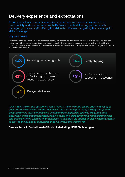### **Delivery experience and expectations**

Results show that customers' key delivery preferences are speed, convenience or predictability, and cost. Yet with over half of respondents still having problems with damaged goods and 43% suffering lost deliveries, it's clear that getting the basics right is still a challenge.

### **Key pain points**

Customers' main pain points include damaged goods, lost or delayed delivery, and expensive shipping costs. It's worth noting that with damaged goods listed as a top pain point, while volumes of occurrences may be lower, it is still a key contributor to poor reputation and an immediate decision to change retailer or supplier. Respondents' biggest frustrations with online deliveries are:



*"Our survey shows that customers could leave a favorite brand on the basis of a costly or poor delivery experience. Yet the last mile is the most complex leg of the logistics journey because drivers must contend with limited or difficult parking options, irregular street addresses, traffic and unexpected road incidents and increasingly busy and growing cities and traffic volumes. There is an urgent need to minimize the impact of these external factors to provide the quality of experience that customers are looking for."*

#### **Deepak Patnaik, Global Head of Product Marketing, HERE Technologies**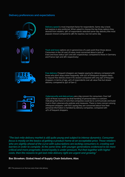#### **Delivery preferences and expectations**



*"The last-mile delivery market is still quite young and subject to intense dynamics. Consumer focus is mostly on the basics of getting a product home at an acceptable price. Those retailers who are slightly ahead of the curve with subscriptions are locking consumers in, creating exit barriers in order to compete. At the same time, with younger generations evidenced to be more critical and more pragmatic, brand loyalty is under pressure. Put that together with higher costs, then the reasons to get last-mile delivery right are urgent and growing."* 

#### **Bas Stroeken, Global Head of Supply Chain Solutions, Atos**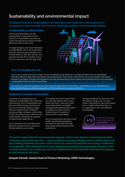### **Sustainability and environmental impact**

Findings reveal that sustainability is of importance to customers, with pressure on companies to demonstrate how they are reducing negative environmental impacts.

#### **Sustainability as differentiator**

Half of all respondents say that sustainability is important to them and 41% of respondents say they are concerned about the impact of online delivery on the environment.

Younger shoppers are more interested in sustainability. Gen-Z are more likely than any other group to prioritize ecofriendly delivery, with 36% listing it as a top three priority from retailers versus 27% for customers over the age of 46.



#### **Gen-Z is leading the way**

Our survey reveals that if 44% of Gen-Zs are frustrated by lost deliveries, and 58% of those who are dissatisfied with their delivery experience are likely to shop elsewhere, then nearly a third of Gen-Zs we surveyed could switch brands if not happy. Younger demographics are also demonstrating more interest and commitment to environmental sustainability from their service providers.

Given that younger demographics are less loyal and spend more time online – potentially to voice dissatisfaction – then the risk from poor delivery experiences, if not addressed, is growing with time.

#### **Preferences around sustainability**

Customers are prepared to turn interest in sustainability into a financial commitment; 31% of respondents say they are willing to pay a premium to ensure eco-friendly delivery. Again, there are higher levels of interest among younger shoppers, with a third of Gen-Zs willing to pay a premium for sustainability, compared to a quarter of respondents aged 36-45.

43% of students are more likely than full-time workers (30%) to want ecofriendly delivery as an option.

It's notable that when asked which eco-friendly options they would prefer the most, customers were more interested in recyclable packaging and getting information on options to reduce carbon footprint than in rewards or discounts for sustainability.

40% of respondents say they would prefer eco-friendly packaging compared to just 18% who said that loyalty points would be their preference.

Younger shoppers are also the most information hungry. Gen-Z is the cohort most likely to value information from a retailer about how they, as an organization, are committing to sustainability.



*"It's worth noting that the environmental impacts of last-mile delivery extend beyond what customers see on the last mile – not just choices around packaging and e-vehicle fleets, but also making informed real-time route choices to avoid the pollution and energy-inefficiency of congestion. With imperatives to meet national and global decarbonization targets in the coming decades, it's a wake-up call to all stakeholders to accelerate and measure progress on the journey to net zero."*

#### **Deepak Patnaik, Global Head of Product Marketing, HERE Technologies**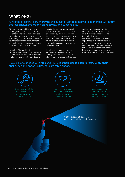### **What next?**

While the pressure is on, improving the quality of last-mile delivery experiences will in turn address challenges around brand loyalty and sustainability.

To remain competitive, retailers and logistics companies need to be able to understand and address what's happening in the supply chain. Capturing actionable data in real time to increase visibility enables more accurate planning, decision-making, forecasting and route optimization.

Together, Atos and HERE Technologies can help companies to identify and address key challenges outlined in this report around brand

loyalty, delivery experience and sustainability. Whilst some can be addressed by interventions within the last mile, our experience shows that often the root cause can be found further upstream in areas such as forecasting, procurement or warehousing.

By integrating capabilities such as advanced analytics, location intelligence, automation, route planning and artificial intelligence, we help retailers and logistics companies to improve their lastmile delivery operations. Using technological enablers can significantly increase customer experience, minimize costs and maximize sustainability to improve your own KPIs. Imposing the same service-level expectations on your third-party providers will drive up performance along the supply chain.

#### If you'd like to engage with Atos and HERE Technologies to explore your supply chain challenges and opportunities, here are three options:

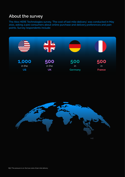### **About the survey**

The Atos HERE Technologies survey, 'The cost of last mile delivery', was conducted in May 2021, asking 2,500 consumers about online purchase and delivery preferences and pain points. Survey respondents include: